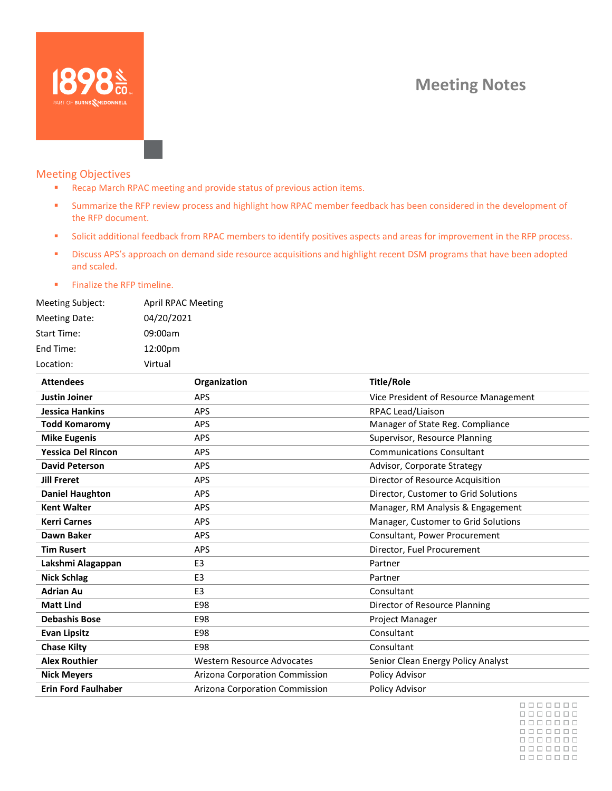# **Meeting Notes**



# Meeting Objectives

- Recap March RPAC meeting and provide status of previous action items.
- Summarize the RFP review process and highlight how RPAC member feedback has been considered in the development of the RFP document.
- Solicit additional feedback from RPAC members to identify positives aspects and areas for improvement in the RFP process.
- Discuss APS's approach on demand side resource acquisitions and highlight recent DSM programs that have been adopted and scaled.
- Finalize the RFP timeline.

| <b>Meeting Subject:</b> | <b>April RPAC Meeting</b> |
|-------------------------|---------------------------|
| Meeting Date:           | 04/20/2021                |
| <b>Start Time:</b>      | 09:00am                   |
| End Time:               | 12:00pm                   |
| Location:               | Virtual                   |

| <b>Attendees</b>           | Organization                      | <b>Title/Role</b>                     |
|----------------------------|-----------------------------------|---------------------------------------|
| <b>Justin Joiner</b>       | <b>APS</b>                        | Vice President of Resource Management |
| <b>Jessica Hankins</b>     | <b>APS</b>                        | RPAC Lead/Liaison                     |
| <b>Todd Komaromy</b>       | <b>APS</b>                        | Manager of State Reg. Compliance      |
| <b>Mike Eugenis</b>        | <b>APS</b>                        | Supervisor, Resource Planning         |
| <b>Yessica Del Rincon</b>  | <b>APS</b>                        | <b>Communications Consultant</b>      |
| <b>David Peterson</b>      | <b>APS</b>                        | Advisor, Corporate Strategy           |
| <b>Jill Freret</b>         | <b>APS</b>                        | Director of Resource Acquisition      |
| <b>Daniel Haughton</b>     | <b>APS</b>                        | Director, Customer to Grid Solutions  |
| <b>Kent Walter</b>         | <b>APS</b>                        | Manager, RM Analysis & Engagement     |
| <b>Kerri Carnes</b>        | <b>APS</b>                        | Manager, Customer to Grid Solutions   |
| Dawn Baker                 | <b>APS</b>                        | Consultant, Power Procurement         |
| <b>Tim Rusert</b>          | <b>APS</b>                        | Director, Fuel Procurement            |
| Lakshmi Alagappan          | E <sub>3</sub>                    | Partner                               |
| <b>Nick Schlag</b>         | E <sub>3</sub>                    | Partner                               |
| <b>Adrian Au</b>           | E <sub>3</sub>                    | Consultant                            |
| <b>Matt Lind</b>           | E98                               | Director of Resource Planning         |
| <b>Debashis Bose</b>       | E98                               | Project Manager                       |
| <b>Evan Lipsitz</b>        | E98                               | Consultant                            |
| <b>Chase Kilty</b>         | E98                               | Consultant                            |
| <b>Alex Routhier</b>       | <b>Western Resource Advocates</b> | Senior Clean Energy Policy Analyst    |
| <b>Nick Meyers</b>         | Arizona Corporation Commission    | Policy Advisor                        |
| <b>Erin Ford Faulhaber</b> | Arizona Corporation Commission    | Policy Advisor                        |

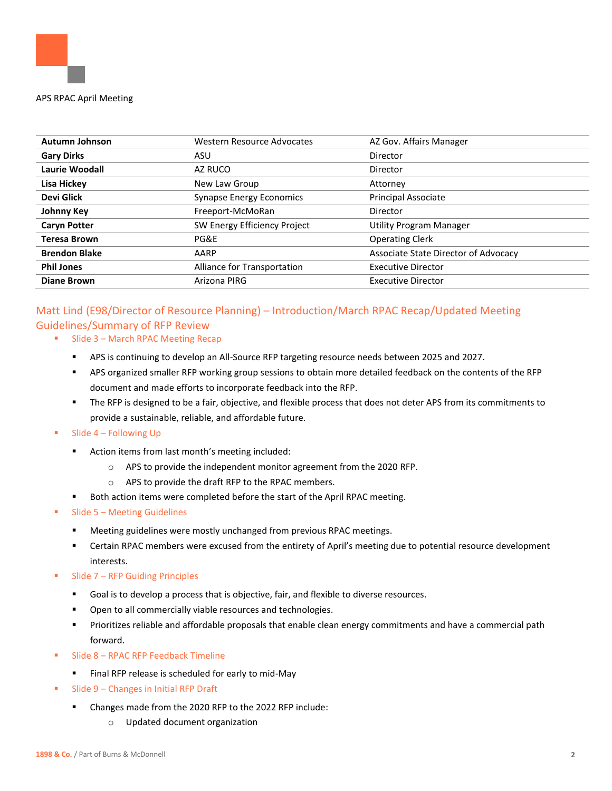

| <b>Autumn Johnson</b> | Western Resource Advocates      | AZ Gov. Affairs Manager              |
|-----------------------|---------------------------------|--------------------------------------|
| <b>Gary Dirks</b>     | ASU                             | Director                             |
| Laurie Woodall        | AZ RUCO                         | Director                             |
| Lisa Hickey           | New Law Group                   | Attorney                             |
| Devi Glick            | <b>Synapse Energy Economics</b> | <b>Principal Associate</b>           |
| Johnny Key            | Freeport-McMoRan                | Director                             |
| <b>Caryn Potter</b>   | SW Energy Efficiency Project    | <b>Utility Program Manager</b>       |
| <b>Teresa Brown</b>   | PG&E                            | <b>Operating Clerk</b>               |
| <b>Brendon Blake</b>  | AARP                            | Associate State Director of Advocacy |
| <b>Phil Jones</b>     | Alliance for Transportation     | <b>Executive Director</b>            |
| <b>Diane Brown</b>    | Arizona PIRG                    | <b>Executive Director</b>            |

# Matt Lind (E98/Director of Resource Planning) – Introduction/March RPAC Recap/Updated Meeting Guidelines/Summary of RFP Review

- Slide 3 March RPAC Meeting Recap
	- APS is continuing to develop an All-Source RFP targeting resource needs between 2025 and 2027.
	- APS organized smaller RFP working group sessions to obtain more detailed feedback on the contents of the RFP document and made efforts to incorporate feedback into the RFP.
	- The RFP is designed to be a fair, objective, and flexible process that does not deter APS from its commitments to provide a sustainable, reliable, and affordable future.
- $\blacksquare$  Slide 4 Following Up
	- Action items from last month's meeting included:
		- o APS to provide the independent monitor agreement from the 2020 RFP.
		- o APS to provide the draft RFP to the RPAC members.
	- Both action items were completed before the start of the April RPAC meeting.
- $S$ lide 5 Meeting Guidelines
	- Meeting guidelines were mostly unchanged from previous RPAC meetings.
	- **•** Certain RPAC members were excused from the entirety of April's meeting due to potential resource development interests.
- Slide 7 RFP Guiding Principles
	- Goal is to develop a process that is objective, fair, and flexible to diverse resources.
	- Open to all commercially viable resources and technologies.
	- Prioritizes reliable and affordable proposals that enable clean energy commitments and have a commercial path forward.
- Slide 8 RPAC RFP Feedback Timeline
	- Final RFP release is scheduled for early to mid-May
- Slide 9 Changes in Initial RFP Draft
	- Changes made from the 2020 RFP to the 2022 RFP include:
		- o Updated document organization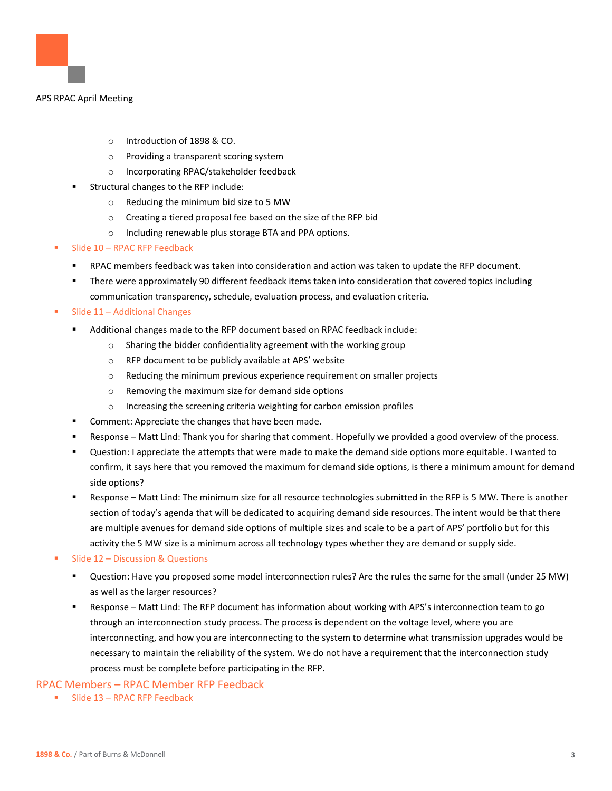

- o Introduction of 1898 & CO.
- o Providing a transparent scoring system
- o Incorporating RPAC/stakeholder feedback
- Structural changes to the RFP include:
	- o Reducing the minimum bid size to 5 MW
	- o Creating a tiered proposal fee based on the size of the RFP bid
	- o Including renewable plus storage BTA and PPA options.
- Slide  $10 -$  RPAC RFP Feedback
	- RPAC members feedback was taken into consideration and action was taken to update the RFP document.
	- **•** There were approximately 90 different feedback items taken into consideration that covered topics including communication transparency, schedule, evaluation process, and evaluation criteria.
- Slide 11 Additional Changes
	- Additional changes made to the RFP document based on RPAC feedback include:
		- o Sharing the bidder confidentiality agreement with the working group
		- o RFP document to be publicly available at APS' website
		- $\circ$  Reducing the minimum previous experience requirement on smaller projects
		- o Removing the maximum size for demand side options
		- o Increasing the screening criteria weighting for carbon emission profiles
	- Comment: Appreciate the changes that have been made.
	- Response Matt Lind: Thank you for sharing that comment. Hopefully we provided a good overview of the process.
	- Question: I appreciate the attempts that were made to make the demand side options more equitable. I wanted to confirm, it says here that you removed the maximum for demand side options, is there a minimum amount for demand side options?
	- Response Matt Lind: The minimum size for all resource technologies submitted in the RFP is 5 MW. There is another section of today's agenda that will be dedicated to acquiring demand side resources. The intent would be that there are multiple avenues for demand side options of multiple sizes and scale to be a part of APS' portfolio but for this activity the 5 MW size is a minimum across all technology types whether they are demand or supply side.
- Slide  $12$  Discussion & Questions
	- Question: Have you proposed some model interconnection rules? Are the rules the same for the small (under 25 MW) as well as the larger resources?
	- Response Matt Lind: The RFP document has information about working with APS's interconnection team to go through an interconnection study process. The process is dependent on the voltage level, where you are interconnecting, and how you are interconnecting to the system to determine what transmission upgrades would be necessary to maintain the reliability of the system. We do not have a requirement that the interconnection study process must be complete before participating in the RFP.

#### RPAC Members – RPAC Member RFP Feedback

**■** Slide 13 – RPAC RFP Feedback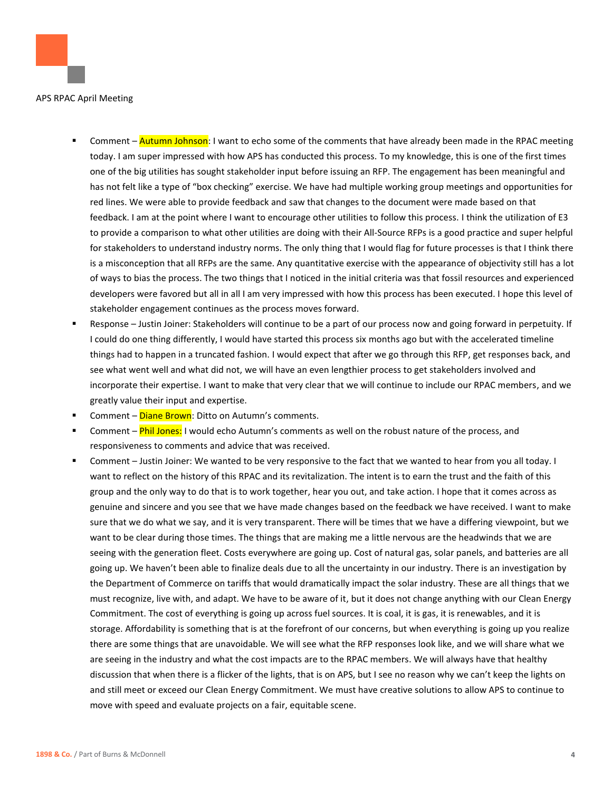

- Comment Autumn Johnson: I want to echo some of the comments that have already been made in the RPAC meeting today. I am super impressed with how APS has conducted this process. To my knowledge, this is one of the first times one of the big utilities has sought stakeholder input before issuing an RFP. The engagement has been meaningful and has not felt like a type of "box checking" exercise. We have had multiple working group meetings and opportunities for red lines. We were able to provide feedback and saw that changes to the document were made based on that feedback. I am at the point where I want to encourage other utilities to follow this process. I think the utilization of E3 to provide a comparison to what other utilities are doing with their All-Source RFPs is a good practice and super helpful for stakeholders to understand industry norms. The only thing that I would flag for future processes is that I think there is a misconception that all RFPs are the same. Any quantitative exercise with the appearance of objectivity still has a lot of ways to bias the process. The two things that I noticed in the initial criteria was that fossil resources and experienced developers were favored but all in all I am very impressed with how this process has been executed. I hope this level of stakeholder engagement continues as the process moves forward.
- Response Justin Joiner: Stakeholders will continue to be a part of our process now and going forward in perpetuity. If I could do one thing differently, I would have started this process six months ago but with the accelerated timeline things had to happen in a truncated fashion. I would expect that after we go through this RFP, get responses back, and see what went well and what did not, we will have an even lengthier process to get stakeholders involved and incorporate their expertise. I want to make that very clear that we will continue to include our RPAC members, and we greatly value their input and expertise.
- Comment Diane Brown: Ditto on Autumn's comments.
- Comment **Phil Jones:** I would echo Autumn's comments as well on the robust nature of the process, and responsiveness to comments and advice that was received.
- Comment Justin Joiner: We wanted to be very responsive to the fact that we wanted to hear from you all today. I want to reflect on the history of this RPAC and its revitalization. The intent is to earn the trust and the faith of this group and the only way to do that is to work together, hear you out, and take action. I hope that it comes across as genuine and sincere and you see that we have made changes based on the feedback we have received. I want to make sure that we do what we say, and it is very transparent. There will be times that we have a differing viewpoint, but we want to be clear during those times. The things that are making me a little nervous are the headwinds that we are seeing with the generation fleet. Costs everywhere are going up. Cost of natural gas, solar panels, and batteries are all going up. We haven't been able to finalize deals due to all the uncertainty in our industry. There is an investigation by the Department of Commerce on tariffs that would dramatically impact the solar industry. These are all things that we must recognize, live with, and adapt. We have to be aware of it, but it does not change anything with our Clean Energy Commitment. The cost of everything is going up across fuel sources. It is coal, it is gas, it is renewables, and it is storage. Affordability is something that is at the forefront of our concerns, but when everything is going up you realize there are some things that are unavoidable. We will see what the RFP responses look like, and we will share what we are seeing in the industry and what the cost impacts are to the RPAC members. We will always have that healthy discussion that when there is a flicker of the lights, that is on APS, but I see no reason why we can't keep the lights on and still meet or exceed our Clean Energy Commitment. We must have creative solutions to allow APS to continue to move with speed and evaluate projects on a fair, equitable scene.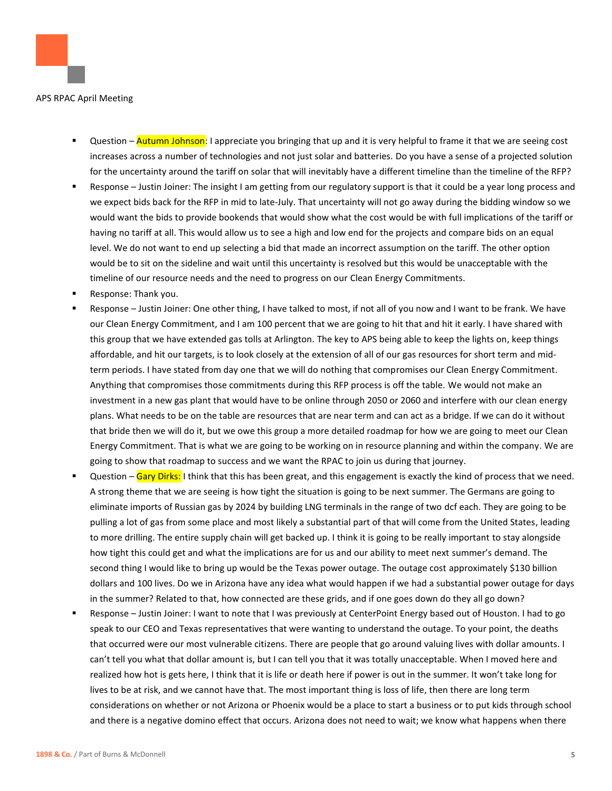

- Question Autumn Johnson: I appreciate you bringing that up and it is very helpful to frame it that we are seeing cost increases across a number of technologies and not just solar and batteries. Do you have a sense of a projected solution for the uncertainty around the tariff on solar that will inevitably have a different timeline than the timeline of the RFP?
- Response Justin Joiner: The insight I am getting from our regulatory support is that it could be a year long process and we expect bids back for the RFP in mid to late-July. That uncertainty will not go away during the bidding window so we would want the bids to provide bookends that would show what the cost would be with full implications of the tariff or having no tariff at all. This would allow us to see a high and low end for the projects and compare bids on an equal level. We do not want to end up selecting a bid that made an incorrect assumption on the tariff. The other option would be to sit on the sideline and wait until this uncertainty is resolved but this would be unacceptable with the timeline of our resource needs and the need to progress on our Clean Energy Commitments.
- Response: Thank you.
- Response Justin Joiner: One other thing, I have talked to most, if not all of you now and I want to be frank. We have our Clean Energy Commitment, and I am 100 percent that we are going to hit that and hit it early. I have shared with this group that we have extended gas tolls at Arlington. The key to APS being able to keep the lights on, keep things affordable, and hit our targets, is to look closely at the extension of all of our gas resources for short term and midterm periods. I have stated from day one that we will do nothing that compromises our Clean Energy Commitment. Anything that compromises those commitments during this RFP process is off the table. We would not make an investment in a new gas plant that would have to be online through 2050 or 2060 and interfere with our clean energy plans. What needs to be on the table are resources that are near term and can act as a bridge. If we can do it without that bride then we will do it, but we owe this group a more detailed roadmap for how we are going to meet our Clean Energy Commitment. That is what we are going to be working on in resource planning and within the company. We are going to show that roadmap to success and we want the RPAC to join us during that journey.
- Question Gary Dirks: I think that this has been great, and this engagement is exactly the kind of process that we need. A strong theme that we are seeing is how tight the situation is going to be next summer. The Germans are going to eliminate imports of Russian gas by 2024 by building LNG terminals in the range of two dcf each. They are going to be pulling a lot of gas from some place and most likely a substantial part of that will come from the United States, leading to more drilling. The entire supply chain will get backed up. I think it is going to be really important to stay alongside how tight this could get and what the implications are for us and our ability to meet next summer's demand. The second thing I would like to bring up would be the Texas power outage. The outage cost approximately \$130 billion dollars and 100 lives. Do we in Arizona have any idea what would happen if we had a substantial power outage for days in the summer? Related to that, how connected are these grids, and if one goes down do they all go down?
- Response Justin Joiner: I want to note that I was previously at CenterPoint Energy based out of Houston. I had to go speak to our CEO and Texas representatives that were wanting to understand the outage. To your point, the deaths that occurred were our most vulnerable citizens. There are people that go around valuing lives with dollar amounts. I can't tell you what that dollar amount is, but I can tell you that it was totally unacceptable. When I moved here and realized how hot is gets here, I think that it is life or death here if power is out in the summer. It won't take long for lives to be at risk, and we cannot have that. The most important thing is loss of life, then there are long term considerations on whether or not Arizona or Phoenix would be a place to start a business or to put kids through school and there is a negative domino effect that occurs. Arizona does not need to wait; we know what happens when there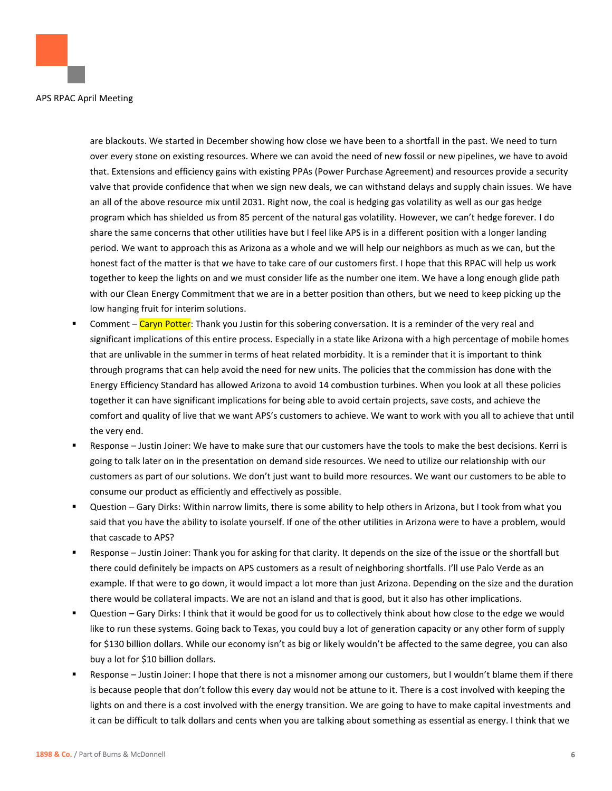are blackouts. We started in December showing how close we have been to a shortfall in the past. We need to turn over every stone on existing resources. Where we can avoid the need of new fossil or new pipelines, we have to avoid that. Extensions and efficiency gains with existing PPAs (Power Purchase Agreement) and resources provide a security valve that provide confidence that when we sign new deals, we can withstand delays and supply chain issues. We have an all of the above resource mix until 2031. Right now, the coal is hedging gas volatility as well as our gas hedge program which has shielded us from 85 percent of the natural gas volatility. However, we can't hedge forever. I do share the same concerns that other utilities have but I feel like APS is in a different position with a longer landing period. We want to approach this as Arizona as a whole and we will help our neighbors as much as we can, but the honest fact of the matter is that we have to take care of our customers first. I hope that this RPAC will help us work together to keep the lights on and we must consider life as the number one item. We have a long enough glide path with our Clean Energy Commitment that we are in a better position than others, but we need to keep picking up the low hanging fruit for interim solutions.

- Comment Caryn Potter: Thank you Justin for this sobering conversation. It is a reminder of the very real and significant implications of this entire process. Especially in a state like Arizona with a high percentage of mobile homes that are unlivable in the summer in terms of heat related morbidity. It is a reminder that it is important to think through programs that can help avoid the need for new units. The policies that the commission has done with the Energy Efficiency Standard has allowed Arizona to avoid 14 combustion turbines. When you look at all these policies together it can have significant implications for being able to avoid certain projects, save costs, and achieve the comfort and quality of live that we want APS's customers to achieve. We want to work with you all to achieve that until the very end.
- Response Justin Joiner: We have to make sure that our customers have the tools to make the best decisions. Kerri is going to talk later on in the presentation on demand side resources. We need to utilize our relationship with our customers as part of our solutions. We don't just want to build more resources. We want our customers to be able to consume our product as efficiently and effectively as possible.
- Question Gary Dirks: Within narrow limits, there is some ability to help others in Arizona, but I took from what you said that you have the ability to isolate yourself. If one of the other utilities in Arizona were to have a problem, would that cascade to APS?
- Response Justin Joiner: Thank you for asking for that clarity. It depends on the size of the issue or the shortfall but there could definitely be impacts on APS customers as a result of neighboring shortfalls. I'll use Palo Verde as an example. If that were to go down, it would impact a lot more than just Arizona. Depending on the size and the duration there would be collateral impacts. We are not an island and that is good, but it also has other implications.
- Question Gary Dirks: I think that it would be good for us to collectively think about how close to the edge we would like to run these systems. Going back to Texas, you could buy a lot of generation capacity or any other form of supply for \$130 billion dollars. While our economy isn't as big or likely wouldn't be affected to the same degree, you can also buy a lot for \$10 billion dollars.
- Response Justin Joiner: I hope that there is not a misnomer among our customers, but I wouldn't blame them if there is because people that don't follow this every day would not be attune to it. There is a cost involved with keeping the lights on and there is a cost involved with the energy transition. We are going to have to make capital investments and it can be difficult to talk dollars and cents when you are talking about something as essential as energy. I think that we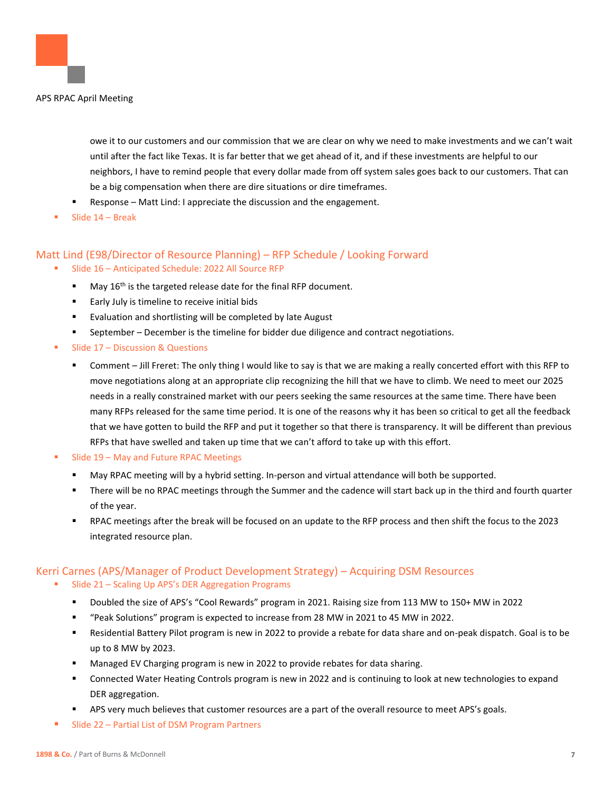

owe it to our customers and our commission that we are clear on why we need to make investments and we can't wait until after the fact like Texas. It is far better that we get ahead of it, and if these investments are helpful to our neighbors, I have to remind people that every dollar made from off system sales goes back to our customers. That can be a big compensation when there are dire situations or dire timeframes.

- Response Matt Lind: I appreciate the discussion and the engagement.
- Slide  $14$  Break

# Matt Lind (E98/Director of Resource Planning) – RFP Schedule / Looking Forward

- Slide 16 Anticipated Schedule: 2022 All Source RFP
	- $\blacksquare$  May 16<sup>th</sup> is the targeted release date for the final RFP document.
	- Early July is timeline to receive initial bids
	- Evaluation and shortlisting will be completed by late August
	- September December is the timeline for bidder due diligence and contract negotiations.
- Slide  $17$  Discussion & Questions
	- Comment Jill Freret: The only thing I would like to say is that we are making a really concerted effort with this RFP to move negotiations along at an appropriate clip recognizing the hill that we have to climb. We need to meet our 2025 needs in a really constrained market with our peers seeking the same resources at the same time. There have been many RFPs released for the same time period. It is one of the reasons why it has been so critical to get all the feedback that we have gotten to build the RFP and put it together so that there is transparency. It will be different than previous RFPs that have swelled and taken up time that we can't afford to take up with this effort.
- Slide 19 May and Future RPAC Meetings
	- May RPAC meeting will by a hybrid setting. In-person and virtual attendance will both be supported.
	- There will be no RPAC meetings through the Summer and the cadence will start back up in the third and fourth quarter of the year.
	- RPAC meetings after the break will be focused on an update to the RFP process and then shift the focus to the 2023 integrated resource plan.

# Kerri Carnes (APS/Manager of Product Development Strategy) – Acquiring DSM Resources

- Slide 21 Scaling Up APS's DER Aggregation Programs
	- Doubled the size of APS's "Cool Rewards" program in 2021. Raising size from 113 MW to 150+ MW in 2022
	- "Peak Solutions" program is expected to increase from 28 MW in 2021 to 45 MW in 2022.
	- Residential Battery Pilot program is new in 2022 to provide a rebate for data share and on-peak dispatch. Goal is to be up to 8 MW by 2023.
	- Managed EV Charging program is new in 2022 to provide rebates for data sharing.
	- Connected Water Heating Controls program is new in 2022 and is continuing to look at new technologies to expand DER aggregation.
	- APS very much believes that customer resources are a part of the overall resource to meet APS's goals.
- Slide 22 Partial List of DSM Program Partners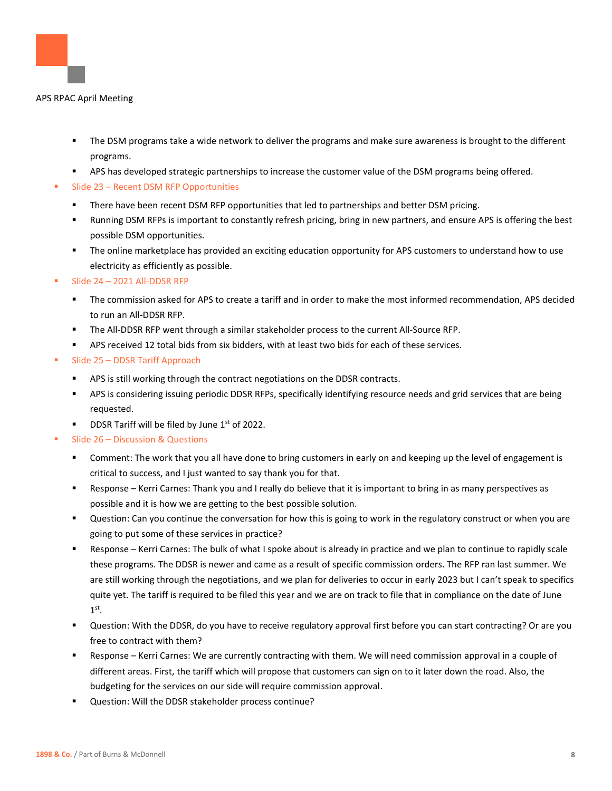

- The DSM programs take a wide network to deliver the programs and make sure awareness is brought to the different programs.
- APS has developed strategic partnerships to increase the customer value of the DSM programs being offered.
- Slide 23 Recent DSM RFP Opportunities
	- There have been recent DSM RFP opportunities that led to partnerships and better DSM pricing.
	- Running DSM RFPs is important to constantly refresh pricing, bring in new partners, and ensure APS is offering the best possible DSM opportunities.
	- The online marketplace has provided an exciting education opportunity for APS customers to understand how to use electricity as efficiently as possible.
- **E** Slide 24 2021 All-DDSR RFP
	- The commission asked for APS to create a tariff and in order to make the most informed recommendation, APS decided to run an All-DDSR RFP.
	- The All-DDSR RFP went through a similar stakeholder process to the current All-Source RFP.
	- APS received 12 total bids from six bidders, with at least two bids for each of these services.
- Slide 25 DDSR Tariff Approach
	- APS is still working through the contract negotiations on the DDSR contracts.
	- **■** APS is considering issuing periodic DDSR RFPs, specifically identifying resource needs and grid services that are being requested.
	- **DDSR Tariff will be filed by June**  $1^{st}$  **of 2022.**
- Slide 26 Discussion & Questions
	- Comment: The work that you all have done to bring customers in early on and keeping up the level of engagement is critical to success, and I just wanted to say thank you for that.
	- Response Kerri Carnes: Thank you and I really do believe that it is important to bring in as many perspectives as possible and it is how we are getting to the best possible solution.
	- Question: Can you continue the conversation for how this is going to work in the regulatory construct or when you are going to put some of these services in practice?
	- Response Kerri Carnes: The bulk of what I spoke about is already in practice and we plan to continue to rapidly scale these programs. The DDSR is newer and came as a result of specific commission orders. The RFP ran last summer. We are still working through the negotiations, and we plan for deliveries to occur in early 2023 but I can't speak to specifics quite yet. The tariff is required to be filed this year and we are on track to file that in compliance on the date of June  $1<sup>st</sup>$ .
	- Question: With the DDSR, do you have to receive regulatory approval first before you can start contracting? Or are you free to contract with them?
	- Response Kerri Carnes: We are currently contracting with them. We will need commission approval in a couple of different areas. First, the tariff which will propose that customers can sign on to it later down the road. Also, the budgeting for the services on our side will require commission approval.
	- Question: Will the DDSR stakeholder process continue?